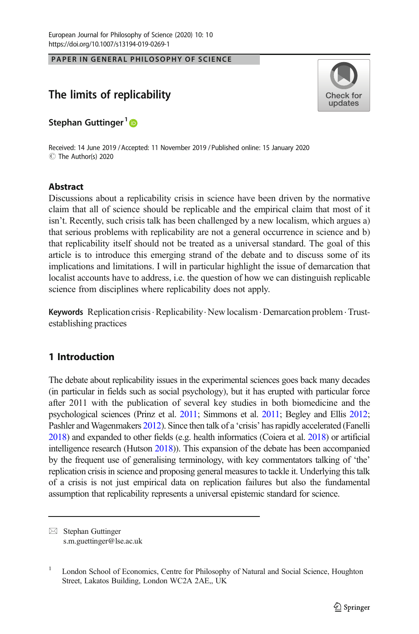PAPER IN GENERAL PHILOSOPHY OF SCIENCE PAPER IN GENERAL PHILOSOPHY OF SCIENCE



# The limits of replicability

Stephan Guttinger<sup>1</sup><sup>®</sup>

Received: 14 June 2019 / Accepted: 11 November 2019 /Published online: 15 January 2020 C The Author(s) 2020

## **Abstract**

Discussions about a replicability crisis in science have been driven by the normative claim that all of science should be replicable and the empirical claim that most of it isn't. Recently, such crisis talk has been challenged by a new localism, which argues a) that serious problems with replicability are not a general occurrence in science and b) that replicability itself should not be treated as a universal standard. The goal of this article is to introduce this emerging strand of the debate and to discuss some of its implications and limitations. I will in particular highlight the issue of demarcation that localist accounts have to address, i.e. the question of how we can distinguish replicable science from disciplines where replicability does not apply.

**Keywords** Replication crisis  $\cdot$  Replicability $\cdot$  New localism  $\cdot$  Demarcation problem $\cdot$  Trustestablishing practices

## 1 Introduction

The debate about replicability issues in the experimental sciences goes back many decades (in particular in fields such as social psychology), but it has erupted with particular force after 2011 with the publication of several key studies in both biomedicine and the psychological sciences (Prinz et al. [2011](#page-15-0); Simmons et al. [2011](#page-16-0); Begley and Ellis [2012;](#page-14-0) Pashler and Wagenmakers [2012](#page-15-0)). Since then talk of a 'crisis' has rapidly accelerated (Fanelli [2018\)](#page-15-0) and expanded to other fields (e.g. health informatics (Coiera et al. [2018\)](#page-14-0) or artificial intelligence research (Hutson [2018](#page-15-0))). This expansion of the debate has been accompanied by the frequent use of generalising terminology, with key commentators talking of 'the' replication crisis in science and proposing general measures to tackle it. Underlying this talk of a crisis is not just empirical data on replication failures but also the fundamental assumption that replicability represents a universal epistemic standard for science.

 $\boxtimes$  Stephan Guttinger [s.m.guettinger@lse.ac.uk](mailto:s.m.guettinger@lse.ac.uk)

<sup>&</sup>lt;sup>1</sup> London School of Economics, Centre for Philosophy of Natural and Social Science, Houghton Street, Lakatos Building, London WC2A 2AE,, UK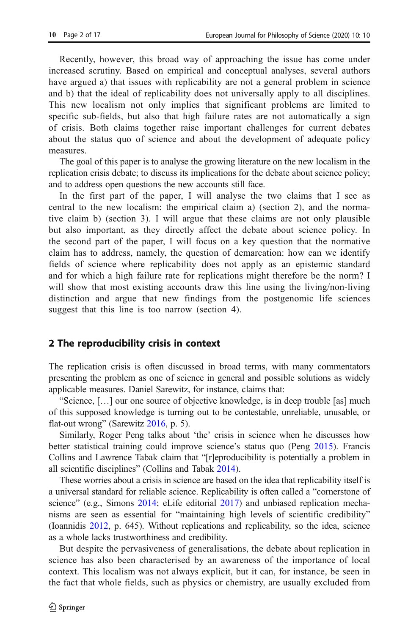Recently, however, this broad way of approaching the issue has come under increased scrutiny. Based on empirical and conceptual analyses, several authors have argued a) that issues with replicability are not a general problem in science and b) that the ideal of replicability does not universally apply to all disciplines. This new localism not only implies that significant problems are limited to specific sub-fields, but also that high failure rates are not automatically a sign of crisis. Both claims together raise important challenges for current debates about the status quo of science and about the development of adequate policy measures.

The goal of this paper is to analyse the growing literature on the new localism in the replication crisis debate; to discuss its implications for the debate about science policy; and to address open questions the new accounts still face.

In the first part of the paper, I will analyse the two claims that I see as central to the new localism: the empirical claim a) (section 2), and the normative claim b) (section 3). I will argue that these claims are not only plausible but also important, as they directly affect the debate about science policy. In the second part of the paper, I will focus on a key question that the normative claim has to address, namely, the question of demarcation: how can we identify fields of science where replicability does not apply as an epistemic standard and for which a high failure rate for replications might therefore be the norm? I will show that most existing accounts draw this line using the living/non-living distinction and argue that new findings from the postgenomic life sciences suggest that this line is too narrow (section 4).

## 2 The reproducibility crisis in context

The replication crisis is often discussed in broad terms, with many commentators presenting the problem as one of science in general and possible solutions as widely applicable measures. Daniel Sarewitz, for instance, claims that:

"Science, […] our one source of objective knowledge, is in deep trouble [as] much of this supposed knowledge is turning out to be contestable, unreliable, unusable, or flat-out wrong" (Sarewitz [2016,](#page-16-0) p. 5).

Similarly, Roger Peng talks about 'the' crisis in science when he discusses how better statistical training could improve science's status quo (Peng [2015\)](#page-15-0). Francis Collins and Lawrence Tabak claim that "[r]eproducibility is potentially a problem in all scientific disciplines" (Collins and Tabak [2014](#page-14-0)).

These worries about a crisis in science are based on the idea that replicability itself is a universal standard for reliable science. Replicability is often called a "cornerstone of science" (e.g., Simons [2014](#page-16-0); eLife editorial [2017\)](#page-14-0) and unbiased replication mechanisms are seen as essential for "maintaining high levels of scientific credibility" (Ioannidis [2012,](#page-15-0) p. 645). Without replications and replicability, so the idea, science as a whole lacks trustworthiness and credibility.

But despite the pervasiveness of generalisations, the debate about replication in science has also been characterised by an awareness of the importance of local context. This localism was not always explicit, but it can, for instance, be seen in the fact that whole fields, such as physics or chemistry, are usually excluded from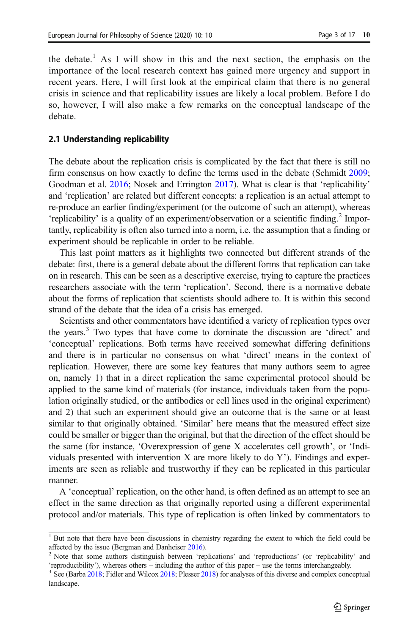the debate.<sup>1</sup> As I will show in this and the next section, the emphasis on the importance of the local research context has gained more urgency and support in recent years. Here, I will first look at the empirical claim that there is no general crisis in science and that replicability issues are likely a local problem. Before I do so, however, I will also make a few remarks on the conceptual landscape of the debate.

#### 2.1 Understanding replicability

The debate about the replication crisis is complicated by the fact that there is still no firm consensus on how exactly to define the terms used in the debate (Schmidt [2009;](#page-16-0) Goodman et al. [2016;](#page-15-0) Nosek and Errington [2017](#page-15-0)). What is clear is that 'replicability' and 'replication' are related but different concepts: a replication is an actual attempt to re-produce an earlier finding/experiment (or the outcome of such an attempt), whereas 'replicability' is a quality of an experiment/observation or a scientific finding.<sup>2</sup> Importantly, replicability is often also turned into a norm, i.e. the assumption that a finding or experiment should be replicable in order to be reliable.

This last point matters as it highlights two connected but different strands of the debate: first, there is a general debate about the different forms that replication can take on in research. This can be seen as a descriptive exercise, trying to capture the practices researchers associate with the term 'replication'. Second, there is a normative debate about the forms of replication that scientists should adhere to. It is within this second strand of the debate that the idea of a crisis has emerged.

Scientists and other commentators have identified a variety of replication types over the years.3 Two types that have come to dominate the discussion are 'direct' and 'conceptual' replications. Both terms have received somewhat differing definitions and there is in particular no consensus on what 'direct' means in the context of replication. However, there are some key features that many authors seem to agree on, namely 1) that in a direct replication the same experimental protocol should be applied to the same kind of materials (for instance, individuals taken from the population originally studied, or the antibodies or cell lines used in the original experiment) and 2) that such an experiment should give an outcome that is the same or at least similar to that originally obtained. 'Similar' here means that the measured effect size could be smaller or bigger than the original, but that the direction of the effect should be the same (for instance, 'Overexpression of gene X accelerates cell growth', or 'Individuals presented with intervention X are more likely to do Y'). Findings and experiments are seen as reliable and trustworthy if they can be replicated in this particular manner.

A 'conceptual' replication, on the other hand, is often defined as an attempt to see an effect in the same direction as that originally reported using a different experimental protocol and/or materials. This type of replication is often linked by commentators to

<sup>&</sup>lt;sup>1</sup> But note that there have been discussions in chemistry regarding the extent to which the field could be

affected by the issue (Bergman and Danheiser [2016](#page-14-0)).<br><sup>2</sup> Note that some authors distinguish between 'replications' and 'reproductions' (or 'replicability' and 'reproducibility'), whereas others – including the author of th

 $^3$  See (Barba [2018](#page-15-0); Fidler and Wilcox [2018;](#page-15-0) Plesser 2018) for analyses of this diverse and complex conceptual landscape.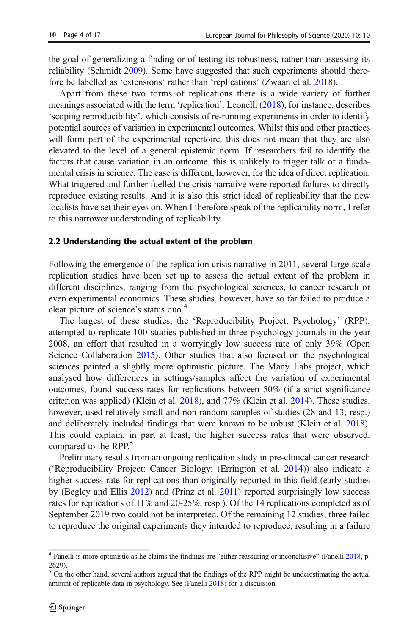the goal of generalizing a finding or of testing its robustness, rather than assessing its reliability (Schmidt [2009\)](#page-16-0). Some have suggested that such experiments should therefore be labelled as 'extensions' rather than 'replications' (Zwaan et al. [2018](#page-16-0)).

Apart from these two forms of replications there is a wide variety of further meanings associated with the term 'replication'. Leonelli [\(2018\)](#page-15-0), for instance, describes 'scoping reproducibility', which consists of re-running experiments in order to identify potential sources of variation in experimental outcomes. Whilst this and other practices will form part of the experimental repertoire, this does not mean that they are also elevated to the level of a general epistemic norm. If researchers fail to identify the factors that cause variation in an outcome, this is unlikely to trigger talk of a fundamental crisis in science. The case is different, however, for the idea of direct replication. What triggered and further fuelled the crisis narrative were reported failures to directly reproduce existing results. And it is also this strict ideal of replicability that the new localists have set their eyes on. When I therefore speak of the replicability norm, I refer to this narrower understanding of replicability.

#### 2.2 Understanding the actual extent of the problem

Following the emergence of the replication crisis narrative in 2011, several large-scale replication studies have been set up to assess the actual extent of the problem in different disciplines, ranging from the psychological sciences, to cancer research or even experimental economics. These studies, however, have so far failed to produce a clear picture of science's status quo.<sup>4</sup>

The largest of these studies, the 'Reproducibility Project: Psychology' (RPP), attempted to replicate 100 studies published in three psychology journals in the year 2008, an effort that resulted in a worryingly low success rate of only 39% (Open Science Collaboration [2015\)](#page-15-0). Other studies that also focused on the psychological sciences painted a slightly more optimistic picture. The Many Labs project, which analysed how differences in settings/samples affect the variation of experimental outcomes, found success rates for replications between 50% (if a strict significance criterion was applied) (Klein et al. [2018](#page-15-0)), and 77% (Klein et al. [2014](#page-15-0)). These studies, however, used relatively small and non-random samples of studies (28 and 13, resp.) and deliberately included findings that were known to be robust (Klein et al. [2018\)](#page-15-0). This could explain, in part at least, the higher success rates that were observed, compared to the RPP.<sup>5</sup>

Preliminary results from an ongoing replication study in pre-clinical cancer research ('Reproducibility Project: Cancer Biology; (Errington et al. [2014\)](#page-14-0)) also indicate a higher success rate for replications than originally reported in this field (early studies by (Begley and Ellis [2012](#page-14-0)) and (Prinz et al. [2011\)](#page-15-0) reported surprisingly low success rates for replications of 11% and 20-25%, resp.). Of the 14 replications completed as of September 2019 two could not be interpreted. Of the remaining 12 studies, three failed to reproduce the original experiments they intended to reproduce, resulting in a failure

<sup>4</sup> Fanelli is more optimistic as he claims the findings are "either reassuring or inconclusive" (Fanelli [2018](#page-15-0), p. 2629).

<sup>&</sup>lt;sup>5</sup> On the other hand, several authors argued that the findings of the RPP might be underestimating the actual amount of replicable data in psychology. See (Fanelli [2018](#page-15-0)) for a discussion.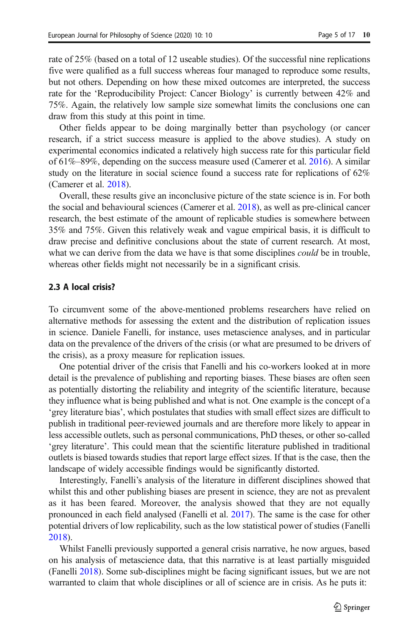rate of 25% (based on a total of 12 useable studies). Of the successful nine replications five were qualified as a full success whereas four managed to reproduce some results, but not others. Depending on how these mixed outcomes are interpreted, the success rate for the 'Reproducibility Project: Cancer Biology' is currently between 42% and 75%. Again, the relatively low sample size somewhat limits the conclusions one can draw from this study at this point in time.

Other fields appear to be doing marginally better than psychology (or cancer research, if a strict success measure is applied to the above studies). A study on experimental economics indicated a relatively high success rate for this particular field of 61%–89%, depending on the success measure used (Camerer et al. [2016\)](#page-14-0). A similar study on the literature in social science found a success rate for replications of 62% (Camerer et al. [2018](#page-14-0)).

Overall, these results give an inconclusive picture of the state science is in. For both the social and behavioural sciences (Camerer et al. [2018](#page-14-0)), as well as pre-clinical cancer research, the best estimate of the amount of replicable studies is somewhere between 35% and 75%. Given this relatively weak and vague empirical basis, it is difficult to draw precise and definitive conclusions about the state of current research. At most, what we can derive from the data we have is that some disciplines *could* be in trouble, whereas other fields might not necessarily be in a significant crisis.

#### 2.3 A local crisis?

To circumvent some of the above-mentioned problems researchers have relied on alternative methods for assessing the extent and the distribution of replication issues in science. Daniele Fanelli, for instance, uses metascience analyses, and in particular data on the prevalence of the drivers of the crisis (or what are presumed to be drivers of the crisis), as a proxy measure for replication issues.

One potential driver of the crisis that Fanelli and his co-workers looked at in more detail is the prevalence of publishing and reporting biases. These biases are often seen as potentially distorting the reliability and integrity of the scientific literature, because they influence what is being published and what is not. One example is the concept of a 'grey literature bias', which postulates that studies with small effect sizes are difficult to publish in traditional peer-reviewed journals and are therefore more likely to appear in less accessible outlets, such as personal communications, PhD theses, or other so-called 'grey literature'. This could mean that the scientific literature published in traditional outlets is biased towards studies that report large effect sizes. If that is the case, then the landscape of widely accessible findings would be significantly distorted.

Interestingly, Fanelli's analysis of the literature in different disciplines showed that whilst this and other publishing biases are present in science, they are not as prevalent as it has been feared. Moreover, the analysis showed that they are not equally pronounced in each field analysed (Fanelli et al. [2017\)](#page-15-0). The same is the case for other potential drivers of low replicability, such as the low statistical power of studies (Fanelli [2018\)](#page-15-0).

Whilst Fanelli previously supported a general crisis narrative, he now argues, based on his analysis of metascience data, that this narrative is at least partially misguided (Fanelli [2018](#page-15-0)). Some sub-disciplines might be facing significant issues, but we are not warranted to claim that whole disciplines or all of science are in crisis. As he puts it: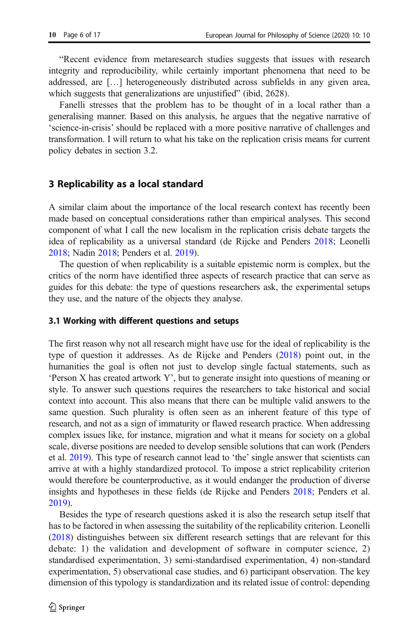"Recent evidence from metaresearch studies suggests that issues with research integrity and reproducibility, while certainly important phenomena that need to be addressed, are […] heterogeneously distributed across subfields in any given area, which suggests that generalizations are unjustified" (ibid, 2628).

Fanelli stresses that the problem has to be thought of in a local rather than a generalising manner. Based on this analysis, he argues that the negative narrative of 'science-in-crisis' should be replaced with a more positive narrative of challenges and transformation. I will return to what his take on the replication crisis means for current policy debates in section 3.2.

## 3 Replicability as a local standard

A similar claim about the importance of the local research context has recently been made based on conceptual considerations rather than empirical analyses. This second component of what I call the new localism in the replication crisis debate targets the idea of replicability as a universal standard (de Rijcke and Penders [2018](#page-14-0); Leonelli [2018;](#page-15-0) Nadin [2018](#page-15-0); Penders et al. [2019](#page-15-0)).

The question of when replicability is a suitable epistemic norm is complex, but the critics of the norm have identified three aspects of research practice that can serve as guides for this debate: the type of questions researchers ask, the experimental setups they use, and the nature of the objects they analyse.

## 3.1 Working with different questions and setups

The first reason why not all research might have use for the ideal of replicability is the type of question it addresses. As de Rijcke and Penders ([2018\)](#page-14-0) point out, in the humanities the goal is often not just to develop single factual statements, such as 'Person X has created artwork Y', but to generate insight into questions of meaning or style. To answer such questions requires the researchers to take historical and social context into account. This also means that there can be multiple valid answers to the same question. Such plurality is often seen as an inherent feature of this type of research, and not as a sign of immaturity or flawed research practice. When addressing complex issues like, for instance, migration and what it means for society on a global scale, diverse positions are needed to develop sensible solutions that can work (Penders et al. [2019](#page-15-0)). This type of research cannot lead to 'the' single answer that scientists can arrive at with a highly standardized protocol. To impose a strict replicability criterion would therefore be counterproductive, as it would endanger the production of diverse insights and hypotheses in these fields (de Rijcke and Penders [2018](#page-14-0); Penders et al. [2019\)](#page-15-0).

Besides the type of research questions asked it is also the research setup itself that has to be factored in when assessing the suitability of the replicability criterion. Leonelli [\(2018\)](#page-15-0) distinguishes between six different research settings that are relevant for this debate: 1) the validation and development of software in computer science, 2) standardised experimentation, 3) semi-standardised experimentation, 4) non-standard experimentation, 5) observational case studies, and 6) participant observation. The key dimension of this typology is standardization and its related issue of control: depending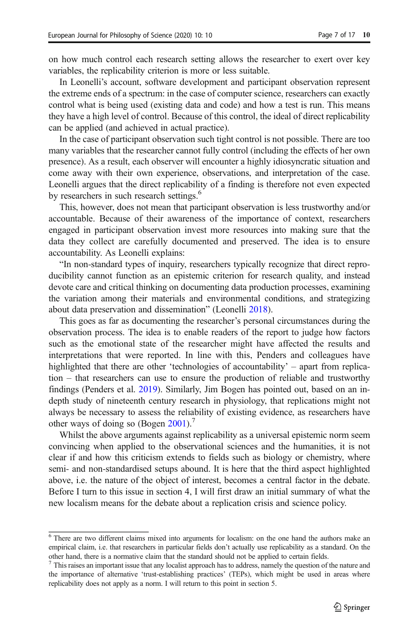on how much control each research setting allows the researcher to exert over key variables, the replicability criterion is more or less suitable.

In Leonelli's account, software development and participant observation represent the extreme ends of a spectrum: in the case of computer science, researchers can exactly control what is being used (existing data and code) and how a test is run. This means they have a high level of control. Because of this control, the ideal of direct replicability can be applied (and achieved in actual practice).

In the case of participant observation such tight control is not possible. There are too many variables that the researcher cannot fully control (including the effects of her own presence). As a result, each observer will encounter a highly idiosyncratic situation and come away with their own experience, observations, and interpretation of the case. Leonelli argues that the direct replicability of a finding is therefore not even expected by researchers in such research settings.<sup>6</sup>

This, however, does not mean that participant observation is less trustworthy and/or accountable. Because of their awareness of the importance of context, researchers engaged in participant observation invest more resources into making sure that the data they collect are carefully documented and preserved. The idea is to ensure accountability. As Leonelli explains:

"In non-standard types of inquiry, researchers typically recognize that direct reproducibility cannot function as an epistemic criterion for research quality, and instead devote care and critical thinking on documenting data production processes, examining the variation among their materials and environmental conditions, and strategizing about data preservation and dissemination" (Leonelli [2018\)](#page-15-0).

This goes as far as documenting the researcher's personal circumstances during the observation process. The idea is to enable readers of the report to judge how factors such as the emotional state of the researcher might have affected the results and interpretations that were reported. In line with this, Penders and colleagues have highlighted that there are other 'technologies of accountability' – apart from replication – that researchers can use to ensure the production of reliable and trustworthy findings (Penders et al. [2019](#page-15-0)). Similarly, Jim Bogen has pointed out, based on an indepth study of nineteenth century research in physiology, that replications might not always be necessary to assess the reliability of existing evidence, as researchers have other ways of doing so (Bogen [2001\)](#page-14-0).<sup>7</sup>

Whilst the above arguments against replicability as a universal epistemic norm seem convincing when applied to the observational sciences and the humanities, it is not clear if and how this criticism extends to fields such as biology or chemistry, where semi- and non-standardised setups abound. It is here that the third aspect highlighted above, i.e. the nature of the object of interest, becomes a central factor in the debate. Before I turn to this issue in section 4, I will first draw an initial summary of what the new localism means for the debate about a replication crisis and science policy.

<sup>6</sup> There are two different claims mixed into arguments for localism: on the one hand the authors make an empirical claim, i.e. that researchers in particular fields don't actually use replicability as a standard. On the other hand, there is a normative claim that the standard should not be applied to certain fields.

 $<sup>7</sup>$  This raises an important issue that any localist approach has to address, namely the question of the nature and</sup> the importance of alternative 'trust-establishing practices' (TEPs), which might be used in areas where replicability does not apply as a norm. I will return to this point in section 5.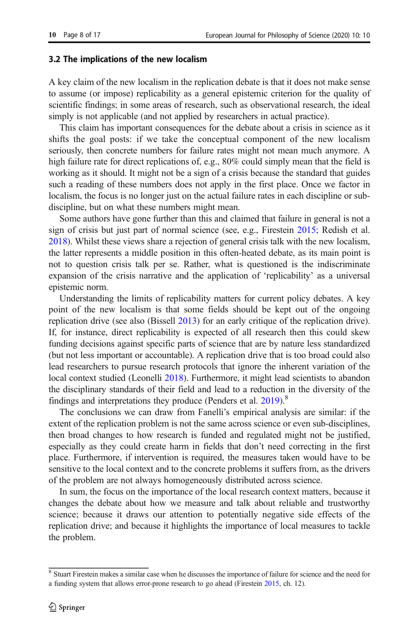#### 3.2 The implications of the new localism

A key claim of the new localism in the replication debate is that it does not make sense to assume (or impose) replicability as a general epistemic criterion for the quality of scientific findings; in some areas of research, such as observational research, the ideal simply is not applicable (and not applied by researchers in actual practice).

This claim has important consequences for the debate about a crisis in science as it shifts the goal posts: if we take the conceptual component of the new localism seriously, then concrete numbers for failure rates might not mean much anymore. A high failure rate for direct replications of, e.g., 80% could simply mean that the field is working as it should. It might not be a sign of a crisis because the standard that guides such a reading of these numbers does not apply in the first place. Once we factor in localism, the focus is no longer just on the actual failure rates in each discipline or subdiscipline, but on what these numbers might mean.

Some authors have gone further than this and claimed that failure in general is not a sign of crisis but just part of normal science (see, e.g., Firestein [2015](#page-15-0); Redish et al. [2018\)](#page-15-0). Whilst these views share a rejection of general crisis talk with the new localism, the latter represents a middle position in this often-heated debate, as its main point is not to question crisis talk per se. Rather, what is questioned is the indiscriminate expansion of the crisis narrative and the application of 'replicability' as a universal epistemic norm.

Understanding the limits of replicability matters for current policy debates. A key point of the new localism is that some fields should be kept out of the ongoing replication drive (see also (Bissell [2013](#page-14-0)) for an early critique of the replication drive). If, for instance, direct replicability is expected of all research then this could skew funding decisions against specific parts of science that are by nature less standardized (but not less important or accountable). A replication drive that is too broad could also lead researchers to pursue research protocols that ignore the inherent variation of the local context studied (Leonelli [2018](#page-15-0)). Furthermore, it might lead scientists to abandon the disciplinary standards of their field and lead to a reduction in the diversity of the findings and interpretations they produce (Penders et al.  $2019$ ).<sup>8</sup>

The conclusions we can draw from Fanelli's empirical analysis are similar: if the extent of the replication problem is not the same across science or even sub-disciplines, then broad changes to how research is funded and regulated might not be justified, especially as they could create harm in fields that don't need correcting in the first place. Furthermore, if intervention is required, the measures taken would have to be sensitive to the local context and to the concrete problems it suffers from, as the drivers of the problem are not always homogeneously distributed across science.

In sum, the focus on the importance of the local research context matters, because it changes the debate about how we measure and talk about reliable and trustworthy science; because it draws our attention to potentially negative side effects of the replication drive; and because it highlights the importance of local measures to tackle the problem.

<sup>&</sup>lt;sup>8</sup> Stuart Firestein makes a similar case when he discusses the importance of failure for science and the need for a funding system that allows error-prone research to go ahead (Firestein [2015,](#page-15-0) ch. 12).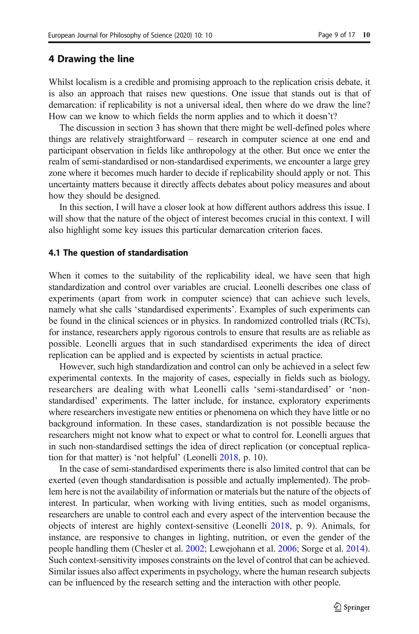## 4 Drawing the line

Whilst localism is a credible and promising approach to the replication crisis debate, it is also an approach that raises new questions. One issue that stands out is that of demarcation: if replicability is not a universal ideal, then where do we draw the line? How can we know to which fields the norm applies and to which it doesn't?

The discussion in section 3 has shown that there might be well-defined poles where things are relatively straightforward – research in computer science at one end and participant observation in fields like anthropology at the other. But once we enter the realm of semi-standardised or non-standardised experiments, we encounter a large grey zone where it becomes much harder to decide if replicability should apply or not. This uncertainty matters because it directly affects debates about policy measures and about how they should be designed.

In this section, I will have a closer look at how different authors address this issue. I will show that the nature of the object of interest becomes crucial in this context. I will also highlight some key issues this particular demarcation criterion faces.

#### 4.1 The question of standardisation

When it comes to the suitability of the replicability ideal, we have seen that high standardization and control over variables are crucial. Leonelli describes one class of experiments (apart from work in computer science) that can achieve such levels, namely what she calls 'standardised experiments'. Examples of such experiments can be found in the clinical sciences or in physics. In randomized controlled trials (RCTs), for instance, researchers apply rigorous controls to ensure that results are as reliable as possible. Leonelli argues that in such standardised experiments the idea of direct replication can be applied and is expected by scientists in actual practice.

However, such high standardization and control can only be achieved in a select few experimental contexts. In the majority of cases, especially in fields such as biology, researchers are dealing with what Leonelli calls 'semi-standardised' or 'nonstandardised' experiments. The latter include, for instance, exploratory experiments where researchers investigate new entities or phenomena on which they have little or no background information. In these cases, standardization is not possible because the researchers might not know what to expect or what to control for. Leonelli argues that in such non-standardised settings the idea of direct replication (or conceptual replication for that matter) is 'not helpful' (Leonelli [2018](#page-15-0), p. 10).

In the case of semi-standardised experiments there is also limited control that can be exerted (even though standardisation is possible and actually implemented). The problem here is not the availability of information or materials but the nature of the objects of interest. In particular, when working with living entities, such as model organisms, researchers are unable to control each and every aspect of the intervention because the objects of interest are highly context-sensitive (Leonelli [2018,](#page-15-0) p. 9). Animals, for instance, are responsive to changes in lighting, nutrition, or even the gender of the people handling them (Chesler et al. [2002](#page-14-0); Lewejohann et al. [2006](#page-15-0); Sorge et al. [2014\)](#page-16-0). Such context-sensitivity imposes constraints on the level of control that can be achieved. Similar issues also affect experiments in psychology, where the human research subjects can be influenced by the research setting and the interaction with other people.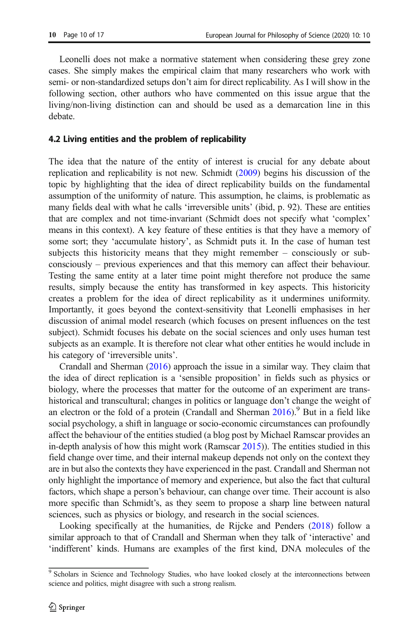Leonelli does not make a normative statement when considering these grey zone cases. She simply makes the empirical claim that many researchers who work with semi- or non-standardized setups don't aim for direct replicability. As I will show in the following section, other authors who have commented on this issue argue that the living/non-living distinction can and should be used as a demarcation line in this debate.

## 4.2 Living entities and the problem of replicability

The idea that the nature of the entity of interest is crucial for any debate about replication and replicability is not new. Schmidt [\(2009\)](#page-16-0) begins his discussion of the topic by highlighting that the idea of direct replicability builds on the fundamental assumption of the uniformity of nature. This assumption, he claims, is problematic as many fields deal with what he calls 'irreversible units' (ibid, p. 92). These are entities that are complex and not time-invariant (Schmidt does not specify what 'complex' means in this context). A key feature of these entities is that they have a memory of some sort; they 'accumulate history', as Schmidt puts it. In the case of human test subjects this historicity means that they might remember – consciously or subconsciously – previous experiences and that this memory can affect their behaviour. Testing the same entity at a later time point might therefore not produce the same results, simply because the entity has transformed in key aspects. This historicity creates a problem for the idea of direct replicability as it undermines uniformity. Importantly, it goes beyond the context-sensitivity that Leonelli emphasises in her discussion of animal model research (which focuses on present influences on the test subject). Schmidt focuses his debate on the social sciences and only uses human test subjects as an example. It is therefore not clear what other entities he would include in his category of 'irreversible units'.

Crandall and Sherman [\(2016\)](#page-14-0) approach the issue in a similar way. They claim that the idea of direct replication is a 'sensible proposition' in fields such as physics or biology, where the processes that matter for the outcome of an experiment are transhistorical and transcultural; changes in politics or language don't change the weight of an electron or the fold of a protein (Crandall and Sherman  $2016$ ).<sup>9</sup> But in a field like social psychology, a shift in language or socio-economic circumstances can profoundly affect the behaviour of the entities studied (a blog post by Michael Ramscar provides an in-depth analysis of how this might work (Ramscar [2015\)](#page-15-0)). The entities studied in this field change over time, and their internal makeup depends not only on the context they are in but also the contexts they have experienced in the past. Crandall and Sherman not only highlight the importance of memory and experience, but also the fact that cultural factors, which shape a person's behaviour, can change over time. Their account is also more specific than Schmidt's, as they seem to propose a sharp line between natural sciences, such as physics or biology, and research in the social sciences.

Looking specifically at the humanities, de Rijcke and Penders ([2018\)](#page-14-0) follow a similar approach to that of Crandall and Sherman when they talk of 'interactive' and 'indifferent' kinds. Humans are examples of the first kind, DNA molecules of the

<sup>&</sup>lt;sup>9</sup> Scholars in Science and Technology Studies, who have looked closely at the interconnections between science and politics, might disagree with such a strong realism.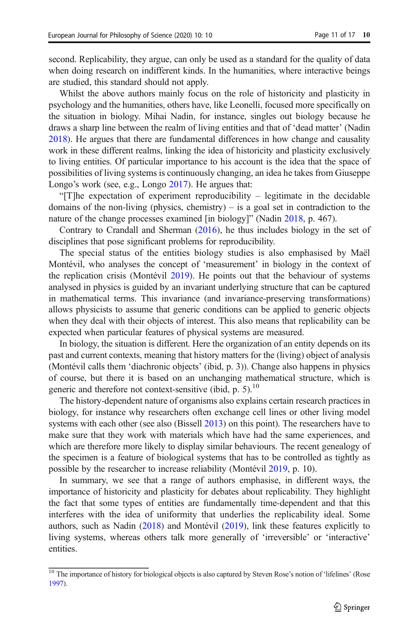second. Replicability, they argue, can only be used as a standard for the quality of data when doing research on indifferent kinds. In the humanities, where interactive beings are studied, this standard should not apply.

Whilst the above authors mainly focus on the role of historicity and plasticity in psychology and the humanities, others have, like Leonelli, focused more specifically on the situation in biology. Mihai Nadin, for instance, singles out biology because he draws a sharp line between the realm of living entities and that of 'dead matter' (Nadin [2018\)](#page-15-0). He argues that there are fundamental differences in how change and causality work in these different realms, linking the idea of historicity and plasticity exclusively to living entities. Of particular importance to his account is the idea that the space of possibilities of living systems is continuously changing, an idea he takes from Giuseppe Longo's work (see, e.g., Longo [2017](#page-15-0)). He argues that:

"[T]he expectation of experiment reproducibility – legitimate in the decidable domains of the non-living (physics, chemistry) – is a goal set in contradiction to the nature of the change processes examined [in biology]" (Nadin [2018,](#page-15-0) p. 467).

Contrary to Crandall and Sherman ([2016\)](#page-14-0), he thus includes biology in the set of disciplines that pose significant problems for reproducibility.

The special status of the entities biology studies is also emphasised by Maël Montévil, who analyses the concept of 'measurement' in biology in the context of the replication crisis (Montévil [2019\)](#page-15-0). He points out that the behaviour of systems analysed in physics is guided by an invariant underlying structure that can be captured in mathematical terms. This invariance (and invariance-preserving transformations) allows physicists to assume that generic conditions can be applied to generic objects when they deal with their objects of interest. This also means that replicability can be expected when particular features of physical systems are measured.

In biology, the situation is different. Here the organization of an entity depends on its past and current contexts, meaning that history matters for the (living) object of analysis (Montévil calls them 'diachronic objects' (ibid, p. 3)). Change also happens in physics of course, but there it is based on an unchanging mathematical structure, which is generic and therefore not context-sensitive (ibid, p. 5).<sup>10</sup>

The history-dependent nature of organisms also explains certain research practices in biology, for instance why researchers often exchange cell lines or other living model systems with each other (see also (Bissell [2013](#page-14-0)) on this point). The researchers have to make sure that they work with materials which have had the same experiences, and which are therefore more likely to display similar behaviours. The recent genealogy of the specimen is a feature of biological systems that has to be controlled as tightly as possible by the researcher to increase reliability (Montévil [2019,](#page-15-0) p. 10).

In summary, we see that a range of authors emphasise, in different ways, the importance of historicity and plasticity for debates about replicability. They highlight the fact that some types of entities are fundamentally time-dependent and that this interferes with the idea of uniformity that underlies the replicability ideal. Some authors, such as Nadin [\(2018\)](#page-15-0) and Montévil ([2019](#page-15-0)), link these features explicitly to living systems, whereas others talk more generally of 'irreversible' or 'interactive' entities.

<sup>&</sup>lt;sup>10</sup> The importance of history for biological objects is also captured by Steven Rose's notion of 'lifelines' (Rose [1997\)](#page-16-0).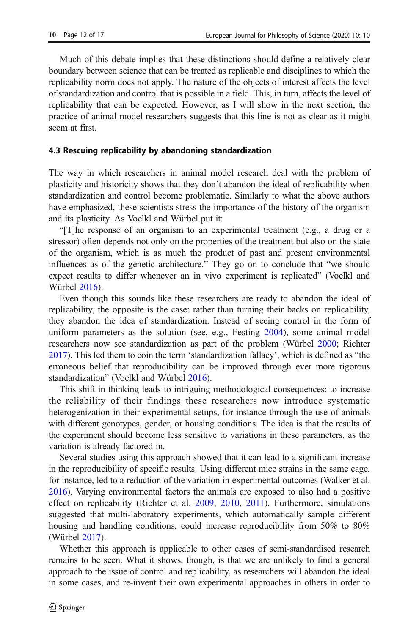Much of this debate implies that these distinctions should define a relatively clear boundary between science that can be treated as replicable and disciplines to which the replicability norm does not apply. The nature of the objects of interest affects the level of standardization and control that is possible in a field. This, in turn, affects the level of replicability that can be expected. However, as I will show in the next section, the practice of animal model researchers suggests that this line is not as clear as it might seem at first.

#### 4.3 Rescuing replicability by abandoning standardization

The way in which researchers in animal model research deal with the problem of plasticity and historicity shows that they don't abandon the ideal of replicability when standardization and control become problematic. Similarly to what the above authors have emphasized, these scientists stress the importance of the history of the organism and its plasticity. As Voelkl and Würbel put it:

"[T]he response of an organism to an experimental treatment (e.g., a drug or a stressor) often depends not only on the properties of the treatment but also on the state of the organism, which is as much the product of past and present environmental influences as of the genetic architecture." They go on to conclude that "we should expect results to differ whenever an in vivo experiment is replicated" (Voelkl and Würbel [2016\)](#page-16-0).

Even though this sounds like these researchers are ready to abandon the ideal of replicability, the opposite is the case: rather than turning their backs on replicability, they abandon the idea of standardization. Instead of seeing control in the form of uniform parameters as the solution (see, e.g., Festing [2004](#page-15-0)), some animal model researchers now see standardization as part of the problem (Würbel [2000;](#page-16-0) Richter [2017\)](#page-15-0). This led them to coin the term 'standardization fallacy', which is defined as "the erroneous belief that reproducibility can be improved through ever more rigorous standardization" (Voelkl and Würbel [2016\)](#page-16-0).

This shift in thinking leads to intriguing methodological consequences: to increase the reliability of their findings these researchers now introduce systematic heterogenization in their experimental setups, for instance through the use of animals with different genotypes, gender, or housing conditions. The idea is that the results of the experiment should become less sensitive to variations in these parameters, as the variation is already factored in.

Several studies using this approach showed that it can lead to a significant increase in the reproducibility of specific results. Using different mice strains in the same cage, for instance, led to a reduction of the variation in experimental outcomes (Walker et al. [2016\)](#page-16-0). Varying environmental factors the animals are exposed to also had a positive effect on replicability (Richter et al. [2009,](#page-16-0) [2010](#page-16-0), [2011\)](#page-16-0). Furthermore, simulations suggested that multi-laboratory experiments, which automatically sample different housing and handling conditions, could increase reproducibility from 50% to 80% (Würbel [2017\)](#page-16-0).

Whether this approach is applicable to other cases of semi-standardised research remains to be seen. What it shows, though, is that we are unlikely to find a general approach to the issue of control and replicability, as researchers will abandon the ideal in some cases, and re-invent their own experimental approaches in others in order to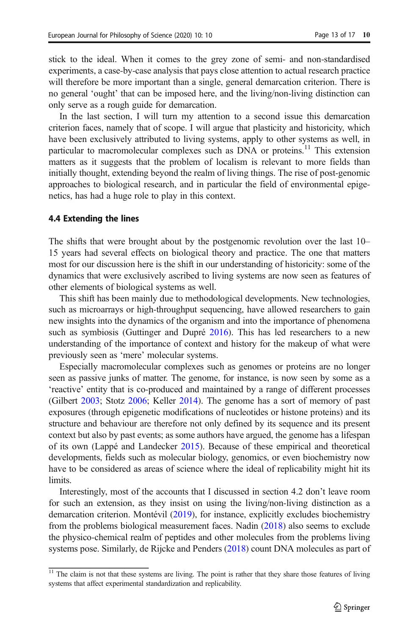stick to the ideal. When it comes to the grey zone of semi- and non-standardised experiments, a case-by-case analysis that pays close attention to actual research practice will therefore be more important than a single, general demarcation criterion. There is no general 'ought' that can be imposed here, and the living/non-living distinction can only serve as a rough guide for demarcation.

In the last section, I will turn my attention to a second issue this demarcation criterion faces, namely that of scope. I will argue that plasticity and historicity, which have been exclusively attributed to living systems, apply to other systems as well, in particular to macromolecular complexes such as DNA or proteins.<sup>11</sup> This extension matters as it suggests that the problem of localism is relevant to more fields than initially thought, extending beyond the realm of living things. The rise of post-genomic approaches to biological research, and in particular the field of environmental epigenetics, has had a huge role to play in this context.

## 4.4 Extending the lines

The shifts that were brought about by the postgenomic revolution over the last 10– 15 years had several effects on biological theory and practice. The one that matters most for our discussion here is the shift in our understanding of historicity: some of the dynamics that were exclusively ascribed to living systems are now seen as features of other elements of biological systems as well.

This shift has been mainly due to methodological developments. New technologies, such as microarrays or high-throughput sequencing, have allowed researchers to gain new insights into the dynamics of the organism and into the importance of phenomena such as symbiosis (Guttinger and Dupré [2016](#page-15-0)). This has led researchers to a new understanding of the importance of context and history for the makeup of what were previously seen as 'mere' molecular systems.

Especially macromolecular complexes such as genomes or proteins are no longer seen as passive junks of matter. The genome, for instance, is now seen by some as a 'reactive' entity that is co-produced and maintained by a range of different processes (Gilbert [2003;](#page-15-0) Stotz [2006](#page-16-0); Keller [2014\)](#page-15-0). The genome has a sort of memory of past exposures (through epigenetic modifications of nucleotides or histone proteins) and its structure and behaviour are therefore not only defined by its sequence and its present context but also by past events; as some authors have argued, the genome has a lifespan of its own (Lappé and Landecker [2015](#page-15-0)). Because of these empirical and theoretical developments, fields such as molecular biology, genomics, or even biochemistry now have to be considered as areas of science where the ideal of replicability might hit its limits.

Interestingly, most of the accounts that I discussed in section 4.2 don't leave room for such an extension, as they insist on using the living/non-living distinction as a demarcation criterion. Montévil ([2019](#page-15-0)), for instance, explicitly excludes biochemistry from the problems biological measurement faces. Nadin [\(2018\)](#page-15-0) also seems to exclude the physico-chemical realm of peptides and other molecules from the problems living systems pose. Similarly, de Rijcke and Penders [\(2018\)](#page-14-0) count DNA molecules as part of

<sup>&</sup>lt;sup>11</sup> The claim is not that these systems are living. The point is rather that they share those features of living systems that affect experimental standardization and replicability.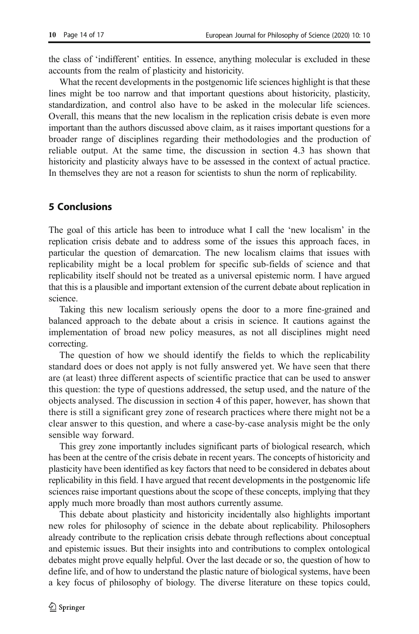the class of 'indifferent' entities. In essence, anything molecular is excluded in these accounts from the realm of plasticity and historicity.

What the recent developments in the postgenomic life sciences highlight is that these lines might be too narrow and that important questions about historicity, plasticity, standardization, and control also have to be asked in the molecular life sciences. Overall, this means that the new localism in the replication crisis debate is even more important than the authors discussed above claim, as it raises important questions for a broader range of disciplines regarding their methodologies and the production of reliable output. At the same time, the discussion in section 4.3 has shown that historicity and plasticity always have to be assessed in the context of actual practice. In themselves they are not a reason for scientists to shun the norm of replicability.

## 5 Conclusions

The goal of this article has been to introduce what I call the 'new localism' in the replication crisis debate and to address some of the issues this approach faces, in particular the question of demarcation. The new localism claims that issues with replicability might be a local problem for specific sub-fields of science and that replicability itself should not be treated as a universal epistemic norm. I have argued that this is a plausible and important extension of the current debate about replication in science.

Taking this new localism seriously opens the door to a more fine-grained and balanced approach to the debate about a crisis in science. It cautions against the implementation of broad new policy measures, as not all disciplines might need correcting.

The question of how we should identify the fields to which the replicability standard does or does not apply is not fully answered yet. We have seen that there are (at least) three different aspects of scientific practice that can be used to answer this question: the type of questions addressed, the setup used, and the nature of the objects analysed. The discussion in section 4 of this paper, however, has shown that there is still a significant grey zone of research practices where there might not be a clear answer to this question, and where a case-by-case analysis might be the only sensible way forward.

This grey zone importantly includes significant parts of biological research, which has been at the centre of the crisis debate in recent years. The concepts of historicity and plasticity have been identified as key factors that need to be considered in debates about replicability in this field. I have argued that recent developments in the postgenomic life sciences raise important questions about the scope of these concepts, implying that they apply much more broadly than most authors currently assume.

This debate about plasticity and historicity incidentally also highlights important new roles for philosophy of science in the debate about replicability. Philosophers already contribute to the replication crisis debate through reflections about conceptual and epistemic issues. But their insights into and contributions to complex ontological debates might prove equally helpful. Over the last decade or so, the question of how to define life, and of how to understand the plastic nature of biological systems, have been a key focus of philosophy of biology. The diverse literature on these topics could,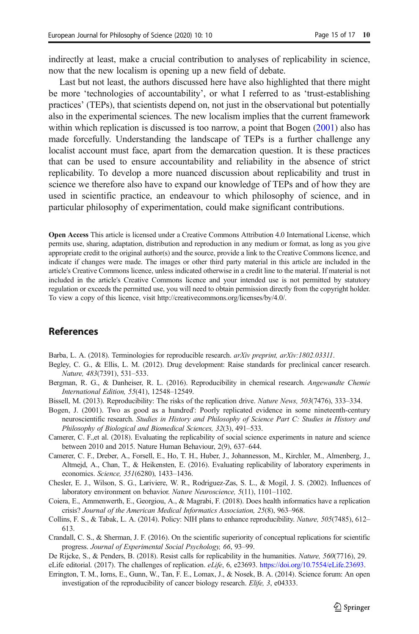<span id="page-14-0"></span>indirectly at least, make a crucial contribution to analyses of replicability in science, now that the new localism is opening up a new field of debate.

Last but not least, the authors discussed here have also highlighted that there might be more 'technologies of accountability', or what I referred to as 'trust-establishing practices' (TEPs), that scientists depend on, not just in the observational but potentially also in the experimental sciences. The new localism implies that the current framework within which replication is discussed is too narrow, a point that Bogen (2001) also has made forcefully. Understanding the landscape of TEPs is a further challenge any localist account must face, apart from the demarcation question. It is these practices that can be used to ensure accountability and reliability in the absence of strict replicability. To develop a more nuanced discussion about replicability and trust in science we therefore also have to expand our knowledge of TEPs and of how they are used in scientific practice, an endeavour to which philosophy of science, and in particular philosophy of experimentation, could make significant contributions.

Open Access This article is licensed under a Creative Commons Attribution 4.0 International License, which permits use, sharing, adaptation, distribution and reproduction in any medium or format, as long as you give appropriate credit to the original author(s) and the source, provide a link to the Creative Commons licence, and indicate if changes were made. The images or other third party material in this article are included in the article's Creative Commons licence, unless indicated otherwise in a credit line to the material. If material is not included in the article's Creative Commons licence and your intended use is not permitted by statutory regulation or exceeds the permitted use, you will need to obtain permission directly from the copyright holder. To view a copy of this licence, visit http://creativecommons.org/licenses/by/4.0/.

## References

- Barba, L. A. (2018). Terminologies for reproducible research. arXiv preprint, arXiv:1802.03311.
- Begley, C. G., & Ellis, L. M. (2012). Drug development: Raise standards for preclinical cancer research. Nature, 483(7391), 531–533.
- Bergman, R. G., & Danheiser, R. L. (2016). Reproducibility in chemical research. Angewandte Chemie International Edition, 55(41), 12548–12549.
- Bissell, M. (2013). Reproducibility: The risks of the replication drive. Nature News, 503(7476), 333–334.
- Bogen, J. (2001). Two as good as a hundred': Poorly replicated evidence in some nineteenth-century neuroscientific research. Studies in History and Philosophy of Science Part C: Studies in History and Philosophy of Biological and Biomedical Sciences, 32(3), 491–533.
- Camerer, C. F.,et al. (2018). Evaluating the replicability of social science experiments in nature and science between 2010 and 2015. Nature Human Behaviour, 2(9), 637–644.
- Camerer, C. F., Dreber, A., Forsell, E., Ho, T. H., Huber, J., Johannesson, M., Kirchler, M., Almenberg, J., Altmejd, A., Chan, T., & Heikensten, E. (2016). Evaluating replicability of laboratory experiments in economics. Science, 351(6280), 1433–1436.
- Chesler, E. J., Wilson, S. G., Lariviere, W. R., Rodriguez-Zas, S. L., & Mogil, J. S. (2002). Influences of laboratory environment on behavior. Nature Neuroscience, 5(11), 1101–1102.
- Coiera, E., Ammenwerth, E., Georgiou, A., & Magrabi, F. (2018). Does health informatics have a replication crisis? Journal of the American Medical Informatics Association, 25(8), 963–968.
- Collins, F. S., & Tabak, L. A. (2014). Policy: NIH plans to enhance reproducibility. Nature, 505(7485), 612– 613.
- Crandall, C. S., & Sherman, J. F. (2016). On the scientific superiority of conceptual replications for scientific progress. Journal of Experimental Social Psychology, 66, 93–99.
- De Rijcke, S., & Penders, B. (2018). Resist calls for replicability in the humanities. Nature, 560(7716), 29.
- eLife editorial. (2017). The challenges of replication. eLife, 6, e23693. [https://doi.org/10.7554/eLife.23693.](https://doi.org/10.7554/eLife.23693)
- Errington, T. M., Iorns, E., Gunn, W., Tan, F. E., Lomax, J., & Nosek, B. A. (2014). Science forum: An open investigation of the reproducibility of cancer biology research. Elife, 3, e04333.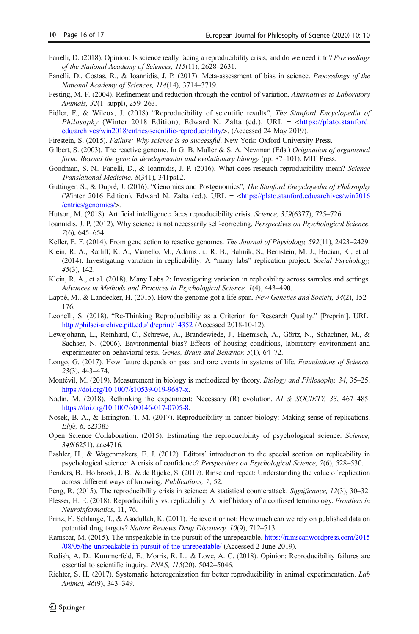- <span id="page-15-0"></span>Fanelli, D. (2018). Opinion: Is science really facing a reproducibility crisis, and do we need it to? Proceedings of the National Academy of Sciences, 115(11), 2628–2631.
- Fanelli, D., Costas, R., & Ioannidis, J. P. (2017). Meta-assessment of bias in science. Proceedings of the National Academy of Sciences, 114(14), 3714–3719.
- Festing, M. F. (2004). Refinement and reduction through the control of variation. Alternatives to Laboratory Animals, 32(1 suppl), 259–263.
- Fidler, F., & Wilcox, J. (2018) "Reproducibility of scientific results", The Stanford Encyclopedia of Philosophy (Winter 2018 Edition), Edward N. Zalta (ed.), URL =  $\langle$ https://plato.stanford. [edu/archives/win2018/entries/scientific-reproducibility/](https://plato.stanford.edu/archives/win2018/entries/scientific-reproducibility/)>. (Accessed 24 May 2019).
- Firestein, S. (2015). Failure: Why science is so successful. New York: Oxford University Press.
- Gilbert, S. (2003). The reactive genome. In G. B. Muller & S. A. Newman (Eds.) Origination of organismal form: Beyond the gene in developmental and evolutionary biology (pp. 87–101). MIT Press.
- Goodman, S. N., Fanelli, D., & Ioannidis, J. P. (2016). What does research reproducibility mean? Science Translational Medicine, 8(341), 341ps12.
- Guttinger, S., & Dupré, J. (2016). "Genomics and Postgenomics", The Stanford Encyclopedia of Philosophy (Winter 2016 Edition), Edward N. Zalta (ed.), URL = [<https://plato.stanford.edu/archives/win2016](https://plato.stanford.edu/archives/win2016/entries/genomics/) [/entries/genomics/>](https://plato.stanford.edu/archives/win2016/entries/genomics/).
- Hutson, M. (2018). Artificial intelligence faces reproducibility crisis. Science, 359(6377), 725–726.
- Ioannidis, J. P. (2012). Why science is not necessarily self-correcting. Perspectives on Psychological Science, 7(6), 645–654.
- Keller, E. F. (2014). From gene action to reactive genomes. The Journal of Physiology, 592(11), 2423–2429.
- Klein, R. A., Ratliff, K. A., Vianello, M., Adams Jr., R. B., Bahník, S., Bernstein, M. J., Bocian, K., et al. (2014). Investigating variation in replicability: A "many labs" replication project. Social Psychology, 45(3), 142.
- Klein, R. A., et al. (2018). Many Labs 2: Investigating variation in replicability across samples and settings. Advances in Methods and Practices in Psychological Science, 1(4), 443–490.
- Lappé, M., & Landecker, H. (2015). How the genome got a life span. New Genetics and Society, 34(2), 152-176.
- Leonelli, S. (2018). "Re-Thinking Reproducibility as a Criterion for Research Quality." [Preprint]. URL: <http://philsci-archive.pitt.edu/id/eprint/14352> (Accessed 2018-10-12).
- Lewejohann, L., Reinhard, C., Schrewe, A., Brandewiede, J., Haemisch, A., Görtz, N., Schachner, M., & Sachser, N. (2006). Environmental bias? Effects of housing conditions, laboratory environment and experimenter on behavioral tests. Genes, Brain and Behavior, 5(1), 64–72.
- Longo, G. (2017). How future depends on past and rare events in systems of life. Foundations of Science, 23(3), 443–474.
- Montévil, M. (2019). Measurement in biology is methodized by theory. Biology and Philosophy, 34, 35–25. [https://doi.org/10.1007/s10539-019-9687-x.](https://doi.org/10.1007/s10539-019-9687-x)
- Nadin, M. (2018). Rethinking the experiment: Necessary (R) evolution. AI & SOCIETY, 33, 467–485. [https://doi.org/10.1007/s00146-017-0705-8.](https://doi.org/10.1007/s00146-017-0705-8)
- Nosek, B. A., & Errington, T. M. (2017). Reproducibility in cancer biology: Making sense of replications. Elife, 6, e23383.
- Open Science Collaboration. (2015). Estimating the reproducibility of psychological science. Science, 349(6251), aac4716.
- Pashler, H., & Wagenmakers, E. J. (2012). Editors' introduction to the special section on replicability in psychological science: A crisis of confidence? Perspectives on Psychological Science, 7(6), 528–530.
- Penders, B., Holbrook, J. B., & de Rijcke, S. (2019). Rinse and repeat: Understanding the value of replication across different ways of knowing. Publications, 7, 52.
- Peng, R. (2015). The reproducibility crisis in science: A statistical counterattack. Significance, 12(3), 30–32.
- Plesser, H. E. (2018). Reproducibility vs. replicability: A brief history of a confused terminology. Frontiers in Neuroinformatics, 11, 76.
- Prinz, F., Schlange, T., & Asadullah, K. (2011). Believe it or not: How much can we rely on published data on potential drug targets? Nature Reviews Drug Discovery, 10(9), 712–713.
- Ramscar, M. (2015). The unspeakable in the pursuit of the unrepeatable. [https://ramscar.wordpress.com/2015](https://ramscar.wordpress.com/2015/08/05/the-unspeakable-in-pursuit-of-the-unrepeatable/) [/08/05/the-unspeakable-in-pursuit-of-the-unrepeatable/](https://ramscar.wordpress.com/2015/08/05/the-unspeakable-in-pursuit-of-the-unrepeatable/) (Accessed 2 June 2019).
- Redish, A. D., Kummerfeld, E., Morris, R. L., & Love, A. C. (2018). Opinion: Reproducibility failures are essential to scientific inquiry. PNAS, 115(20), 5042–5046.
- Richter, S. H. (2017). Systematic heterogenization for better reproducibility in animal experimentation. Lab Animal, 46(9), 343–349.